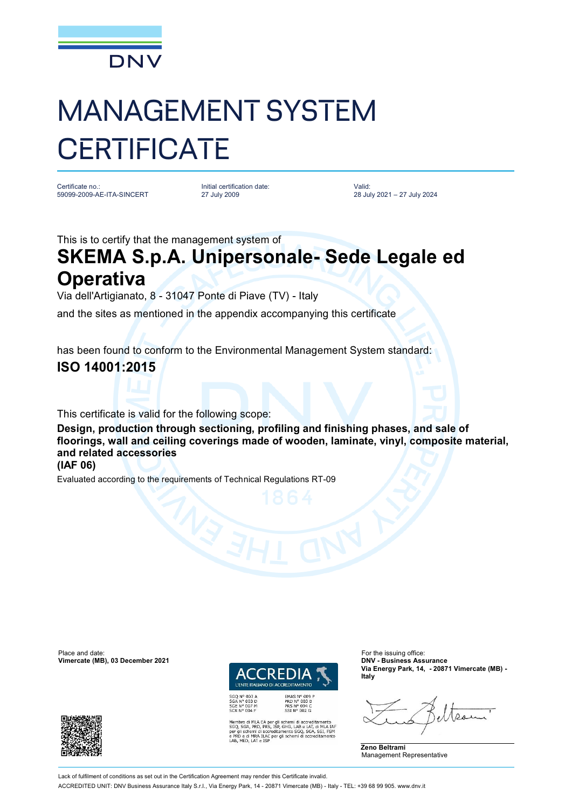

# MANAGEMENT SYSTEM **CERTIFICATE**

Certificate no.: 59099-2009-AE-ITA-SINCERT Initial certification date: 27 July 2009

Valid: 28 July 2021 – 27 July 2024

This is to certify that the management system of

## **SKEMA S.p.A. Unipersonale- Sede Legale ed Operativa**

Via dell'Artigianato, 8 - 31047 Ponte di Piave (TV) - Italy

and the sites as mentioned in the appendix accompanying this certificate

has been found to conform to the Environmental Management System standard:

### **ISO 14001:2015**

This certificate is valid for the following scope:

**Design, production through sectioning, profiling and finishing phases, and sale of floorings, wall and ceiling coverings made of wooden, laminate, vinyl, composite material, and related accessories**

**(IAF 06)**

Evaluated according to the requirements of Technical Regulations RT-09

Place and date: For the issuing office:<br> **Vimercate (MB), 03 December 2021 Contract COMPLE CONTENTS ASSURANCE:** CONTENTS ASSURANCE **Vimercate (MB), 03 December 2021** 



PRD Nº 003 B<br>PRS Nº 094 C<br>SSI Nº 002 G

SGQ N° 003 A<br>SGA N° 003 D<br>SGE N° 007 M<br>SCR N° 004 F

ro di MLA EA per gli schemi di accreditamento<br>SGA, PRD, PRS, ISP, GHG, LAB e LAT, di MLA IAF<br>schemi di accreditamento SGQ, SGA, SSI, FSM \ ILAC per gli schemi di accr

**Via Energy Park, 14, - 20871 Vimercate (MB) - Italy**

**Zeno Beltrami** Management Representative



Lack of fulfilment of conditions as set out in the Certification Agreement may render this Certificate invalid. ACCREDITED UNIT: DNV Business Assurance Italy S.r.l., Via Energy Park, 14 - 20871 Vimercate (MB) - Italy - TEL: +39 68 99 905. [www.dnv.it](http://www.dnv.it)